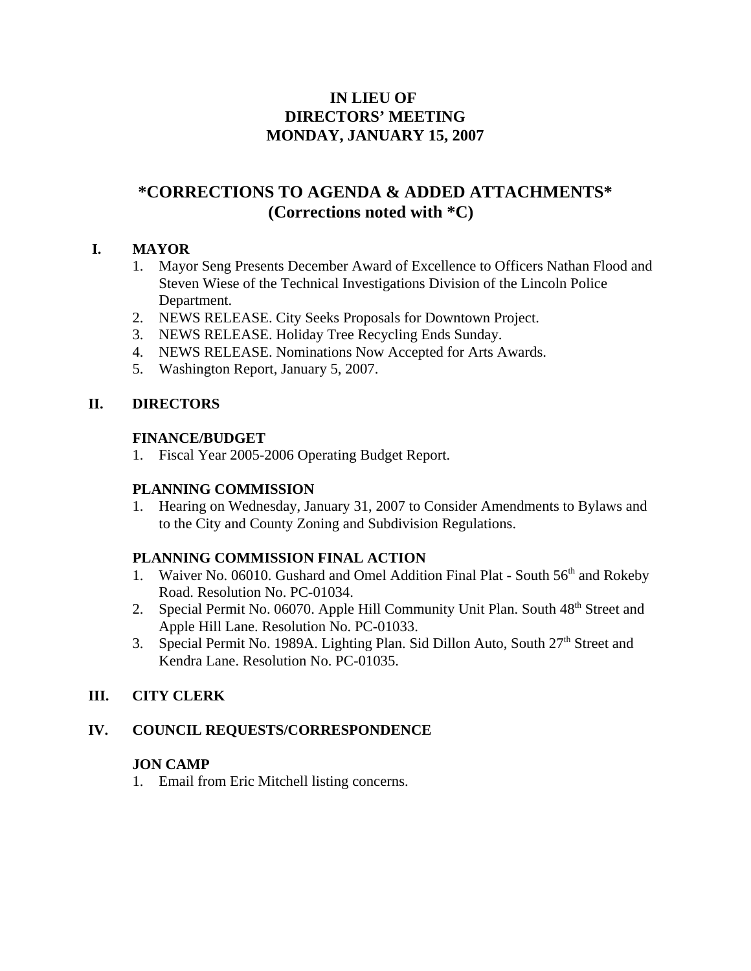# **IN LIEU OF DIRECTORS' MEETING MONDAY, JANUARY 15, 2007**

# **\*CORRECTIONS TO AGENDA & ADDED ATTACHMENTS\* (Corrections noted with \*C)**

# **I. MAYOR**

- 1. Mayor Seng Presents December Award of Excellence to Officers Nathan Flood and Steven Wiese of the Technical Investigations Division of the Lincoln Police Department.
- 2. NEWS RELEASE. City Seeks Proposals for Downtown Project.
- 3. NEWS RELEASE. Holiday Tree Recycling Ends Sunday.
- 4. NEWS RELEASE. Nominations Now Accepted for Arts Awards.
- 5. Washington Report, January 5, 2007.

# **II. DIRECTORS**

# **FINANCE/BUDGET**

1. Fiscal Year 2005-2006 Operating Budget Report.

# **PLANNING COMMISSION**

1. Hearing on Wednesday, January 31, 2007 to Consider Amendments to Bylaws and to the City and County Zoning and Subdivision Regulations.

# **PLANNING COMMISSION FINAL ACTION**

- 1. Waiver No. 06010. Gushard and Omel Addition Final Plat South 56<sup>th</sup> and Rokeby Road. Resolution No. PC-01034.
- 2. Special Permit No. 06070. Apple Hill Community Unit Plan. South 48<sup>th</sup> Street and Apple Hill Lane. Resolution No. PC-01033.
- 3. Special Permit No. 1989A. Lighting Plan. Sid Dillon Auto, South 27<sup>th</sup> Street and Kendra Lane. Resolution No. PC-01035.

# **III. CITY CLERK**

# **IV. COUNCIL REQUESTS/CORRESPONDENCE**

# **JON CAMP**

1. Email from Eric Mitchell listing concerns.